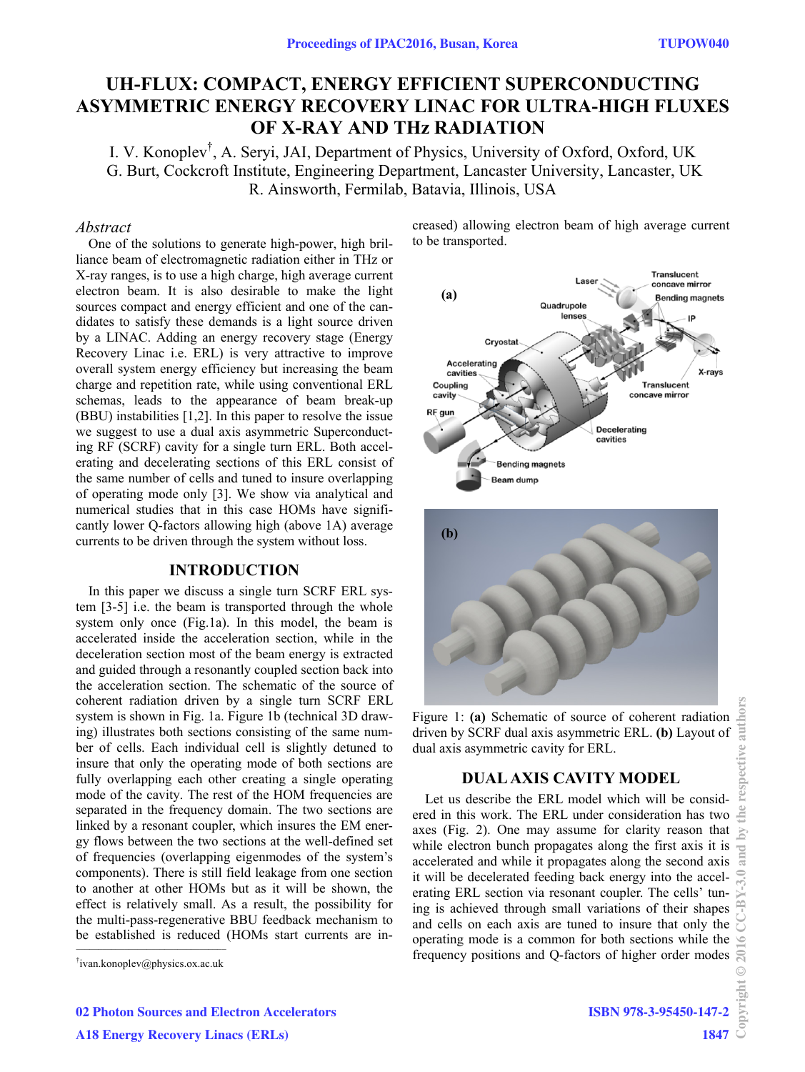# **UH-FLUX: COMPACT, ENERGY EFFICIENT SUPERCONDUCTING ASYMMETRIC ENERGY RECOVERY LINAC FOR ULTRA-HIGH FLUXES OF X-RAY AND THz RADIATION**

I. V. Konoplev† , A. Seryi, JAI, Department of Physics, University of Oxford, Oxford, UK G. Burt, Cockcroft Institute, Engineering Department, Lancaster University, Lancaster, UK R. Ainsworth, Fermilab, Batavia, Illinois, USA

## *Abstract*

One of the solutions to generate high-power, high brilliance beam of electromagnetic radiation either in THz or X-ray ranges, is to use a high charge, high average current electron beam. It is also desirable to make the light sources compact and energy efficient and one of the candidates to satisfy these demands is a light source driven by a LINAC. Adding an energy recovery stage (Energy Recovery Linac i.e. ERL) is very attractive to improve overall system energy efficiency but increasing the beam charge and repetition rate, while using conventional ERL schemas, leads to the appearance of beam break-up (BBU) instabilities [1,2]. In this paper to resolve the issue we suggest to use a dual axis asymmetric Superconducting RF (SCRF) cavity for a single turn ERL. Both accelerating and decelerating sections of this ERL consist of the same number of cells and tuned to insure overlapping of operating mode only [3]. We show via analytical and numerical studies that in this case HOMs have significantly lower Q-factors allowing high (above 1A) average currents to be driven through the system without loss.

## **INTRODUCTION**

 $\mathcal{L}=\mathcal{L}^{\mathcal{L}}$  , where  $\mathcal{L}^{\mathcal{L}}$  and  $\mathcal{L}^{\mathcal{L}}$  and  $\mathcal{L}^{\mathcal{L}}$  and  $\mathcal{L}^{\mathcal{L}}$ In this paper we discuss a single turn SCRF ERL system [3-5] i.e. the beam is transported through the whole system only once (Fig.1a). In this model, the beam is accelerated inside the acceleration section, while in the deceleration section most of the beam energy is extracted and guided through a resonantly coupled section back into the acceleration section. The schematic of the source of coherent radiation driven by a single turn SCRF ERL system is shown in Fig. 1a. Figure 1b (technical 3D drawing) illustrates both sections consisting of the same number of cells. Each individual cell is slightly detuned to insure that only the operating mode of both sections are fully overlapping each other creating a single operating mode of the cavity. The rest of the HOM frequencies are separated in the frequency domain. The two sections are linked by a resonant coupler, which insures the EM energy flows between the two sections at the well-defined set of frequencies (overlapping eigenmodes of the system's components). There is still field leakage from one section to another at other HOMs but as it will be shown, the effect is relatively small. As a result, the possibility for the multi-pass-regenerative BBU feedback mechanism to be established is reduced (HOMs start currents are increased) allowing electron beam of high average current to be transported.





Figure 1: **(a)** Schematic of source of coherent radiation driven by SCRF dual axis asymmetric ERL. **(b)** Layout of dual axis asymmetric cavity for ERL.

## **DUAL AXIS CAVITY MODEL**

Let us describe the ERL model which will be considered in this work. The ERL under consideration has two axes (Fig. 2). One may assume for clarity reason that while electron bunch propagates along the first axis it is accelerated and while it propagates along the second axis it will be decelerated feeding back energy into the accelerating ERL section via resonant coupler. The cells' tuning is achieved through small variations of their shapes and cells on each axis are tuned to insure that only the operating mode is a common for both sections while the frequency positions and Q-factors of higher order modes

<sup>†</sup> ivan.konoplev@physics.ox.ac.uk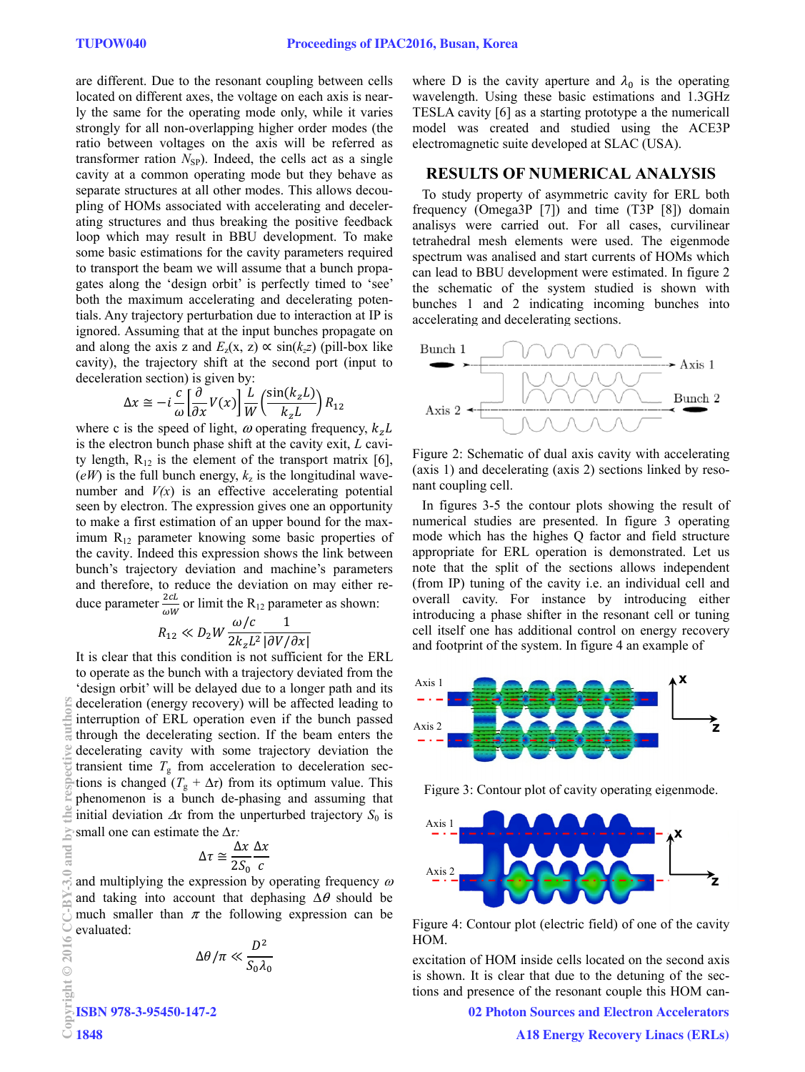are different. Due to the resonant coupling between cells located on different axes, the voltage on each axis is nearly the same for the operating mode only, while it varies strongly for all non-overlapping higher order modes (the ratio between voltages on the axis will be referred as transformer ration  $N_{SP}$ ). Indeed, the cells act as a single cavity at a common operating mode but they behave as separate structures at all other modes. This allows decoupling of HOMs associated with accelerating and decelerating structures and thus breaking the positive feedback loop which may result in BBU development. To make some basic estimations for the cavity parameters required to transport the beam we will assume that a bunch propagates along the 'design orbit' is perfectly timed to 'see' both the maximum accelerating and decelerating potentials. Any trajectory perturbation due to interaction at IP is ignored. Assuming that at the input bunches propagate on and along the axis z and  $E_z(x, z) \propto \sin(k_z z)$  (pill-box like cavity), the trajectory shift at the second port (input to deceleration section) is given by:

$$
\Delta x \cong -i \frac{c}{\omega} \left[ \frac{\partial}{\partial x} V(x) \right] \frac{L}{W} \left( \frac{\sin(k_z L)}{k_z L} \right) R_{12}
$$

where c is the speed of light,  $\omega$  operating frequency,  $k_z L$ is the electron bunch phase shift at the cavity exit, *L* cavity length,  $R_{12}$  is the element of the transport matrix [6],  $(eW)$  is the full bunch energy,  $k_z$  is the longitudinal wavenumber and  $V(x)$  is an effective accelerating potential seen by electron. The expression gives one an opportunity to make a first estimation of an upper bound for the maximum  $R_{12}$  parameter knowing some basic properties of the cavity. Indeed this expression shows the link between bunch's trajectory deviation and machine's parameters and therefore, to reduce the deviation on may either reduce parameter  $\frac{2cL}{\omega W}$  or limit the R<sub>12</sub> parameter as shown:

$$
R_{12} \ll D_2 W \frac{\omega/c}{2k_z L^2} \frac{1}{|\partial V/\partial x|}
$$

It is clear that this condition is not sufficient for the ERL

to operate as the bunch with a trajectory deviated from the 'design orbit' will be delayed due to a longer path and its deceleration (energy recovery) will be affected leading to interruption of ERL operation even if the bunch passed through the decelerating section. If the beam enters the decelerating cavity with some trajectory deviation the transient time  $T<sub>g</sub>$  from acceleration to deceleration sections is changed  $(T_g + \Delta \tau)$  from its optimum value. This phenomenon is a bunch de-phasing and assuming that initial deviation  $\Delta x$  from the unperturbed trajectory  $S_0$  is small one can estimate the Δ*τ:*  Copyright Copyright Copyright Copyright Copyright Copyright Copyright Copyright Copyright Copyright Copyright Copyright Copyright Copyright Copyright Copyright Copyright Copyright Copyright Copyright Copyright Copyright C

$$
\Delta \tau \cong \frac{\Delta x}{2S_0} \frac{\Delta x}{c}
$$

and multiplying the expression by operating frequency  $\omega$ and taking into account that dephasing  $\Delta\theta$  should be much smaller than  $\pi$  the following expression can be evaluated:

$$
\Delta\theta/\pi \ll \frac{D^2}{S_0\lambda_0}
$$

ISBN 978-3-95450-147-2

where D is the cavity aperture and  $\lambda_0$  is the operating wavelength. Using these basic estimations and 1.3GHz TESLA cavity [6] as a starting prototype a the numericall model was created and studied using the ACE3P electromagnetic suite developed at SLAC (USA).

#### **RESULTS OF NUMERICAL ANALYSIS**

To study property of asymmetric cavity for ERL both frequency (Omega3P [7]) and time (T3P [8]) domain analisys were carried out. For all cases, curvilinear tetrahedral mesh elements were used. The eigenmode spectrum was analised and start currents of HOMs which can lead to BBU development were estimated. In figure 2 the schematic of the system studied is shown with bunches 1 and 2 indicating incoming bunches into accelerating and decelerating sections.



Figure 2: Schematic of dual axis cavity with accelerating (axis 1) and decelerating (axis 2) sections linked by resonant coupling cell.

In figures 3-5 the contour plots showing the result of numerical studies are presented. In figure 3 operating mode which has the highes Q factor and field structure appropriate for ERL operation is demonstrated. Let us note that the split of the sections allows independent (from IP) tuning of the cavity i.e. an individual cell and overall cavity. For instance by introducing either introducing a phase shifter in the resonant cell or tuning cell itself one has additional control on energy recovery and footprint of the system. In figure 4 an example of



Figure 3: Contour plot of cavity operating eigenmode.



Figure 4: Contour plot (electric field) of one of the cavity HOM.

excitation of HOM inside cells located on the second axis is shown. It is clear that due to the detuning of the sections and presence of the resonant couple this HOM can-

02 Photon Sources and Electron Accelerators

È and

 $\tilde{=}$  $\odot$